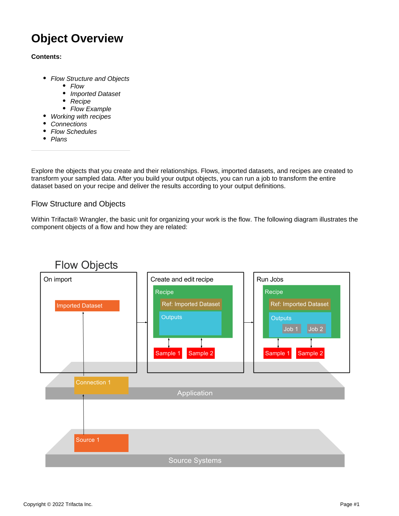# **Object Overview**

# **Contents:**

- [Flow Structure and Objects](#page-0-0)
	- [Flow](#page-1-0)
	- $\bullet$ [Imported Dataset](#page-1-1)
	- $\bullet$ **[Recipe](#page-1-2)**
	- [Flow Example](#page-2-0)
	- [Working with recipes](#page-2-1)
- **[Connections](#page-3-0)**
- [Flow Schedules](#page-3-1)
- $\bullet$  [Plans](#page-4-0)

Explore the objects that you create and their relationships. Flows, imported datasets, and recipes are created to transform your sampled data. After you build your output objects, you can run a job to transform the entire dataset based on your recipe and deliver the results according to your output definitions.

# <span id="page-0-0"></span>Flow Structure and Objects

Within Trifacta® Wrangler, the basic unit for organizing your work is the flow. The following diagram illustrates the component objects of a flow and how they are related:

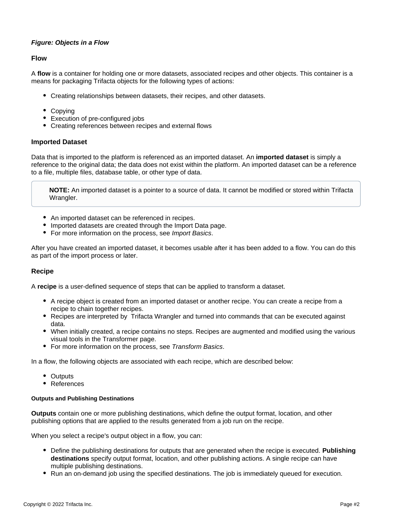# **Figure: Objects in a Flow**

#### <span id="page-1-0"></span>**Flow**

A **flow** is a container for holding one or more datasets, associated recipes and other objects. This container is a means for packaging Trifacta objects for the following types of actions:

- Creating relationships between datasets, their recipes, and other datasets.
- Copying
- Execution of pre-configured jobs
- Creating references between recipes and external flows

#### <span id="page-1-1"></span>**Imported Dataset**

Data that is imported to the platform is referenced as an imported dataset. An **imported dataset** is simply a reference to the original data; the data does not exist within the platform. An imported dataset can be a reference to a file, multiple files, database table, or other type of data.

**NOTE:** An imported dataset is a pointer to a source of data. It cannot be modified or stored within Trifacta Wrangler.

- An imported dataset can be referenced in recipes.
- Imported datasets are created through the Import Data page.
- For more information on the process, see [Import Basics](https://docs.trifacta.com/display/SS/Import+Basics).

After you have created an imported dataset, it becomes usable after it has been added to a flow. You can do this as part of the import process or later.

#### <span id="page-1-2"></span>**Recipe**

A **recipe** is a user-defined sequence of steps that can be applied to transform a dataset.

- A recipe object is created from an imported dataset or another recipe. You can create a recipe from a recipe to chain together recipes.
- Recipes are interpreted by Trifacta Wrangler and turned into commands that can be executed against data.
- When initially created, a recipe contains no steps. Recipes are augmented and modified using the various visual tools in the Transformer page.
- For more information on the process, see [Transform Basics](https://docs.trifacta.com/display/SS/Transform+Basics).

In a flow, the following objects are associated with each recipe, which are described below:

- Outputs
- References

#### **Outputs and Publishing Destinations**

**Outputs** contain one or more publishing destinations, which define the output format, location, and other publishing options that are applied to the results generated from a job run on the recipe.

When you select a recipe's output object in a flow, you can:

- Define the publishing destinations for outputs that are generated when the recipe is executed. **Publishing destinations** specify output format, location, and other publishing actions. A single recipe can have multiple publishing destinations.
- Run an on-demand job using the specified destinations. The job is immediately queued for execution.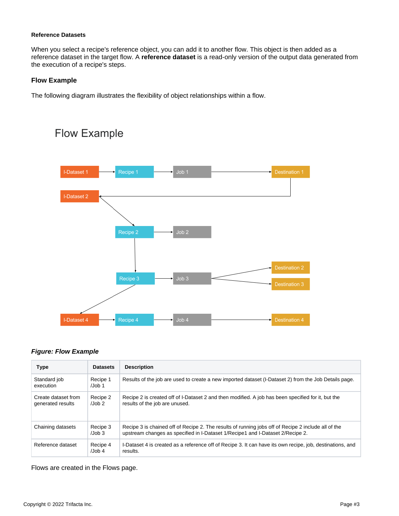#### **Reference Datasets**

When you select a recipe's reference object, you can add it to another flow. This object is then added as a reference dataset in the target flow. A **reference dataset** is a read-only version of the output data generated from the execution of a recipe's steps.

# <span id="page-2-0"></span>**Flow Example**

Flow Example

The following diagram illustrates the flexibility of object relationships within a flow.

# Job 1 **I-Dataset 1** Recipe 1 **I-Dataset 2** Recipe 2  $Job<sub>2</sub>$ **Destination 2** Job 3 Job 4 **I-Dataset 4**

# **Figure: Flow Example**

| <b>Type</b>                              | <b>Datasets</b>             | <b>Description</b>                                                                                                                                                                    |
|------------------------------------------|-----------------------------|---------------------------------------------------------------------------------------------------------------------------------------------------------------------------------------|
| Standard job<br>execution                | Recipe 1<br>$\lambda$ Job 1 | Results of the job are used to create a new imported dataset (I-Dataset 2) from the Job Details page.                                                                                 |
| Create dataset from<br>generated results | Recipe 2<br>$/$ Job 2       | Recipe 2 is created off of I-Dataset 2 and then modified. A job has been specified for it, but the<br>results of the job are unused.                                                  |
| Chaining datasets                        | Recipe 3<br>$\lambda$ Job 3 | Recipe 3 is chained off of Recipe 2. The results of running jobs off of Recipe 2 include all of the<br>upstream changes as specified in I-Dataset 1/Recipe1 and I-Dataset 2/Recipe 2. |
| Reference dataset                        | Recipe 4<br>$/$ Job 4       | I-Dataset 4 is created as a reference off of Recipe 3. It can have its own recipe, job, destinations, and<br>results.                                                                 |

<span id="page-2-1"></span>Flows are created in the Flows page.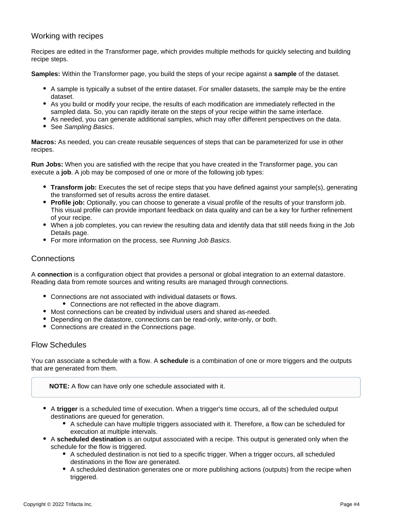# Working with recipes

Recipes are edited in the Transformer page, which provides multiple methods for quickly selecting and building recipe steps.

**Samples:** Within the Transformer page, you build the steps of your recipe against a **sample** of the dataset.

- A sample is typically a subset of the entire dataset. For smaller datasets, the sample may be the entire dataset.
- As you build or modify your recipe, the results of each modification are immediately reflected in the sampled data. So, you can rapidly iterate on the steps of your recipe within the same interface.
- As needed, you can generate additional samples, which may offer different perspectives on the data.
- See [Sampling Basics](https://docs.trifacta.com/display/SS/Sampling+Basics).

**Macros:** As needed, you can create reusable sequences of steps that can be parameterized for use in other recipes.

**Run Jobs:** When you are satisfied with the recipe that you have created in the Transformer page, you can execute a **job**. A job may be composed of one or more of the following job types:

- **Transform job:** Executes the set of recipe steps that you have defined against your sample(s), generating the transformed set of results across the entire dataset.
- **Profile job:** Optionally, you can choose to generate a visual profile of the results of your transform job. This visual profile can provide important feedback on data quality and can be a key for further refinement of your recipe.
- When a job completes, you can review the resulting data and identify data that still needs fixing in the Job Details page.
- For more information on the process, see [Running Job Basics](https://docs.trifacta.com/display/SS/Running+Job+Basics).

# <span id="page-3-0"></span>**Connections**

A **connection** is a configuration object that provides a personal or global integration to an external datastore. Reading data from remote sources and writing results are managed through connections.

- Connections are not associated with individual datasets or flows.
	- Connections are not reflected in the above diagram.
- Most connections can be created by individual users and shared as-needed.
- Depending on the datastore, connections can be read-only, write-only, or both.
- Connections are created in the Connections page.

# <span id="page-3-1"></span>Flow Schedules

You can associate a schedule with a flow. A **schedule** is a combination of one or more triggers and the outputs that are generated from them.

**NOTE:** A flow can have only one schedule associated with it.

- A **trigger** is a scheduled time of execution. When a trigger's time occurs, all of the scheduled output destinations are queued for generation.
	- A schedule can have multiple triggers associated with it. Therefore, a flow can be scheduled for execution at multiple intervals.
- A **scheduled destination** is an output associated with a recipe. This output is generated only when the schedule for the flow is triggered.
	- A scheduled destination is not tied to a specific trigger. When a trigger occurs, all scheduled destinations in the flow are generated.
	- A scheduled destination generates one or more publishing actions (outputs) from the recipe when triggered.